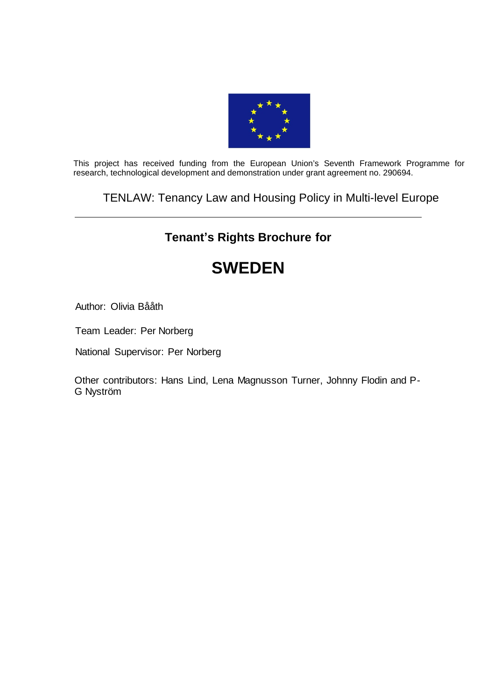

This project has received funding from the European Union's Seventh Framework Programme for research, technological development and demonstration under grant agreement no. 290694.

## TENLAW: Tenancy Law and Housing Policy in Multi-level Europe

# **Tenant's Rights Brochure for**

# **SWEDEN**

Author: Olivia Bååth

Team Leader: Per Norberg

National Supervisor: Per Norberg

Other contributors: Hans Lind, Lena Magnusson Turner, Johnny Flodin and P-G Nyström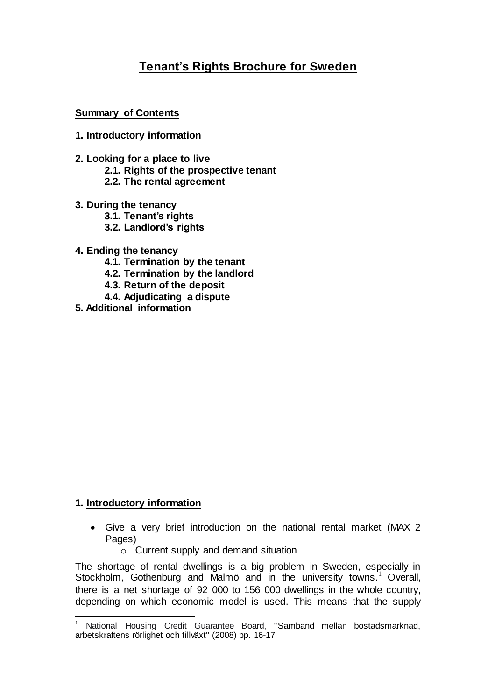# **Tenant's Rights Brochure for Sweden**

**Summary of Contents**

- **1. Introductory information**
- **2. Looking for a place to live**
	- **2.1. Rights of the prospective tenant**
	- **2.2. The rental agreement**
- **3. During the tenancy**
	- **3.1. Tenant's rights**
	- **3.2. Landlord's rights**
- **4. Ending the tenancy**
	- **4.1. Termination by the tenant**
	- **4.2. Termination by the landlord**
	- **4.3. Return of the deposit**
	- **4.4. Adjudicating a dispute**
- **5. Additional information**

### **1. Introductory information**

- Give a very brief introduction on the national rental market (MAX 2 Pages)
	- o Current supply and demand situation

The shortage of rental dwellings is a big problem in Sweden, especially in Stockholm, Gothenburg and Malmö and in the university towns.<sup>1</sup> Overall, there is a net shortage of 92 000 to 156 000 dwellings in the whole country, depending on which economic model is used. This means that the supply

l <sup>1</sup> National Housing Credit Guarantee Board, "Samband mellan bostadsmarknad, arbetskraftens rörlighet och tillväxt" (2008) pp. 16-17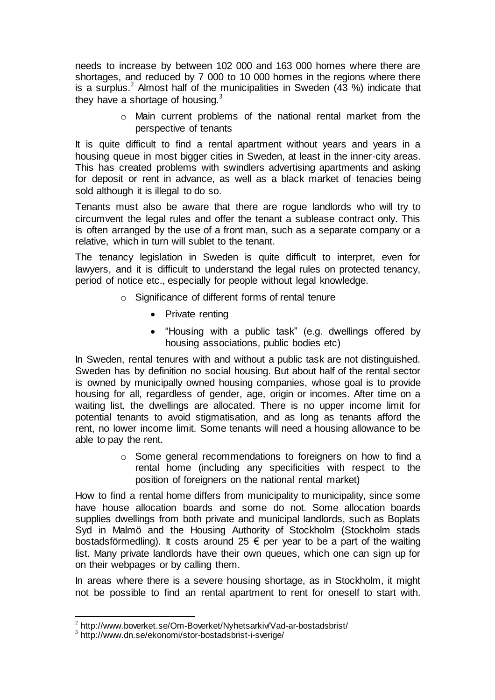needs to increase by between 102 000 and 163 000 homes where there are shortages, and reduced by 7 000 to 10 000 homes in the regions where there is a surplus.<sup>2</sup> Almost half of the municipalities in Sweden  $(43\%)$  indicate that they have a shortage of housing. $3$ 

> o Main current problems of the national rental market from the perspective of tenants

It is quite difficult to find a rental apartment without years and years in a housing queue in most bigger cities in Sweden, at least in the inner-city areas. This has created problems with swindlers advertising apartments and asking for deposit or rent in advance, as well as a black market of tenacies being sold although it is illegal to do so.

Tenants must also be aware that there are rogue landlords who will try to circumvent the legal rules and offer the tenant a sublease contract only. This is often arranged by the use of a front man, such as a separate company or a relative, which in turn will sublet to the tenant.

The tenancy legislation in Sweden is quite difficult to interpret, even for lawyers, and it is difficult to understand the legal rules on protected tenancy, period of notice etc., especially for people without legal knowledge.

- o Significance of different forms of rental tenure
	- Private renting
	- "Housing with a public task" (e.g. dwellings offered by housing associations, public bodies etc)

In Sweden, rental tenures with and without a public task are not distinguished. Sweden has by definition no social housing. But about half of the rental sector is owned by municipally owned housing companies, whose goal is to provide housing for all, regardless of gender, age, origin or incomes. After time on a waiting list, the dwellings are allocated. There is no upper income limit for potential tenants to avoid stigmatisation, and as long as tenants afford the rent, no lower income limit. Some tenants will need a housing allowance to be able to pay the rent.

> o Some general recommendations to foreigners on how to find a rental home (including any specificities with respect to the position of foreigners on the national rental market)

How to find a rental home differs from municipality to municipality, since some have house allocation boards and some do not. Some allocation boards supplies dwellings from both private and municipal landlords, such as Boplats Syd in Malmö and the Housing Authority of Stockholm (Stockholm stads bostadsförmedling). It costs around 25  $\epsilon$  per year to be a part of the waiting list. Many private landlords have their own queues, which one can sign up for on their webpages or by calling them.

In areas where there is a severe housing shortage, as in Stockholm, it might not be possible to find an rental apartment to rent for oneself to start with.

 2 http://www.boverket.se/Om-Boverket/Nyhetsarkiv/Vad-ar-bostadsbrist/

<sup>&</sup>lt;sup>3</sup> http://www.dn.se/ekonomi/stor-bostadsbrist-i-sverige/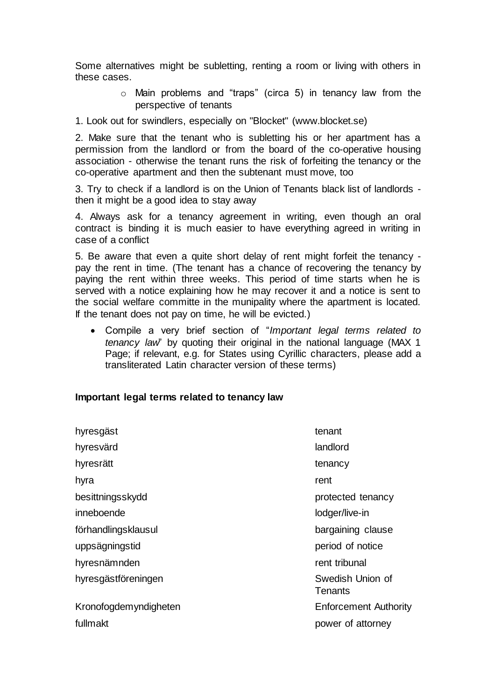Some alternatives might be subletting, renting a room or living with others in these cases.

- o Main problems and "traps" (circa 5) in tenancy law from the perspective of tenants
- 1. Look out for swindlers, especially on "Blocket" (www.blocket.se)

2. Make sure that the tenant who is subletting his or her apartment has a permission from the landlord or from the board of the co-operative housing association - otherwise the tenant runs the risk of forfeiting the tenancy or the co-operative apartment and then the subtenant must move, too

3. Try to check if a landlord is on the Union of Tenants black list of landlords then it might be a good idea to stay away

4. Always ask for a tenancy agreement in writing, even though an oral contract is binding it is much easier to have everything agreed in writing in case of a conflict

5. Be aware that even a quite short delay of rent might forfeit the tenancy pay the rent in time. (The tenant has a chance of recovering the tenancy by paying the rent within three weeks. This period of time starts when he is served with a notice explaining how he may recover it and a notice is sent to the social welfare committe in the munipality where the apartment is located. If the tenant does not pay on time, he will be evicted.)

 Compile a very brief section of "*Important legal terms related to tenancy law*" by quoting their original in the national language (MAX 1 Page; if relevant, e.g. for States using Cyrillic characters, please add a transliterated Latin character version of these terms)

#### **Important legal terms related to tenancy law**

| hyresgäst             | tenant                       |
|-----------------------|------------------------------|
| hyresvärd             | landlord                     |
| hyresrätt             | tenancy                      |
| hyra                  | rent                         |
| besittningsskydd      | protected tenancy            |
| inneboende            | lodger/live-in               |
| förhandlingsklausul   | bargaining clause            |
| uppsägningstid        | period of notice             |
| hyresnämnden          | rent tribunal                |
| hyresgästföreningen   | Swedish Union of<br>Tenants  |
| Kronofogdemyndigheten | <b>Enforcement Authority</b> |
| fullmakt              | power of attorney            |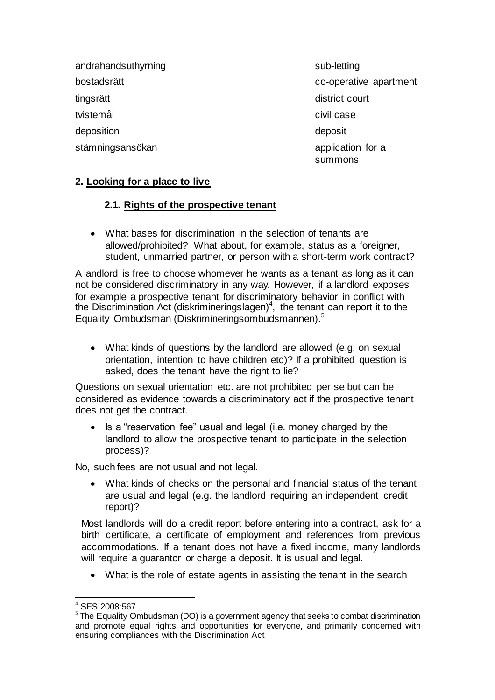andrahandsuthyrning sub-letting sub-letting tingsrätt district court tvistemål **civil case** deposition deposition deposition deposition deposition deposition of the state of the state of the state of the state of the state of the state of the state of the state of the state of the state of the state of the state

bostadsrätt co-operative apartment stämningsansökan application for a summons

#### **2. Looking for a place to live**

#### **2.1. Rights of the prospective tenant**

 What bases for discrimination in the selection of tenants are allowed/prohibited? What about, for example, status as a foreigner, student, unmarried partner, or person with a short-term work contract?

A landlord is free to choose whomever he wants as a tenant as long as it can not be considered discriminatory in any way. However, if a landlord exposes for example a prospective tenant for discriminatory behavior in conflict with the Discrimination Act (diskrimineringslagen)<sup>4</sup>, the tenant can report it to the Equality Ombudsman (Diskrimineringsombudsmannen).<sup>5</sup>

 What kinds of questions by the landlord are allowed (e.g. on sexual orientation, intention to have children etc)? If a prohibited question is asked, does the tenant have the right to lie?

Questions on sexual orientation etc. are not prohibited per se but can be considered as evidence towards a discriminatory act if the prospective tenant does not get the contract.

• Is a "reservation fee" usual and legal (i.e. money charged by the landlord to allow the prospective tenant to participate in the selection process)?

No, such fees are not usual and not legal.

 What kinds of checks on the personal and financial status of the tenant are usual and legal (e.g. the landlord requiring an independent credit report)?

Most landlords will do a credit report before entering into a contract, ask for a birth certificate, a certificate of employment and references from previous accommodations. If a tenant does not have a fixed income, many landlords will require a guarantor or charge a deposit. It is usual and legal.

• What is the role of estate agents in assisting the tenant in the search

l SFS 2008:567

 $5$  The Equality Ombudsman (DO) is a government agency that seeks to combat discrimination and promote equal rights and opportunities for everyone, and primarily concerned with ensuring compliances with the Discrimination Act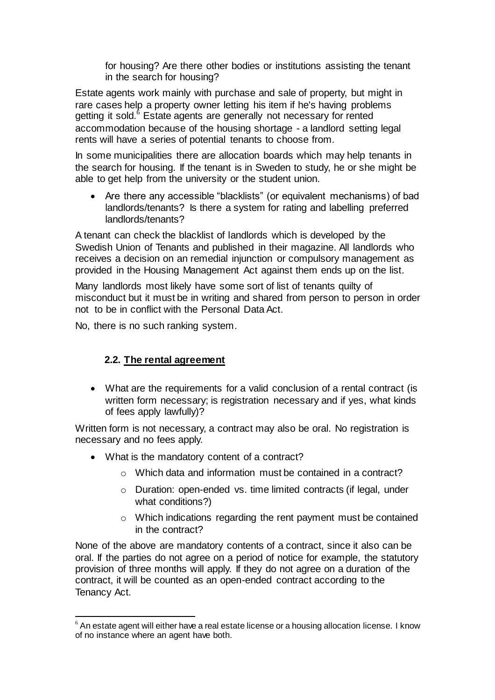for housing? Are there other bodies or institutions assisting the tenant in the search for housing?

Estate agents work mainly with purchase and sale of property, but might in rare cases help a property owner letting his item if he's having problems getting it sold.<sup>6</sup> Estate agents are generally not necessary for rented accommodation because of the housing shortage - a landlord setting legal rents will have a series of potential tenants to choose from.

In some municipalities there are allocation boards which may help tenants in the search for housing. If the tenant is in Sweden to study, he or she might be able to get help from the university or the student union.

 Are there any accessible "blacklists" (or equivalent mechanisms) of bad landlords/tenants? Is there a system for rating and labelling preferred landlords/tenants?

A tenant can check the blacklist of landlords which is developed by the Swedish Union of Tenants and published in their magazine. All landlords who receives a decision on an remedial injunction or compulsory management as provided in the Housing Management Act against them ends up on the list.

Many landlords most likely have some sort of list of tenants quilty of misconduct but it must be in writing and shared from person to person in order not to be in conflict with the Personal Data Act.

No, there is no such ranking system.

l

#### **2.2. The rental agreement**

 What are the requirements for a valid conclusion of a rental contract (is written form necessary; is registration necessary and if yes, what kinds of fees apply lawfully)?

Written form is not necessary, a contract may also be oral. No registration is necessary and no fees apply.

- What is the mandatory content of a contract?
	- o Which data and information must be contained in a contract?
	- o Duration: open-ended vs. time limited contracts (if legal, under what conditions?)
	- o Which indications regarding the rent payment must be contained in the contract?

None of the above are mandatory contents of a contract, since it also can be oral. If the parties do not agree on a period of notice for example, the statutory provision of three months will apply. If they do not agree on a duration of the contract, it will be counted as an open-ended contract according to the Tenancy Act.

 $6$  An estate agent will either have a real estate license or a housing allocation license. I know of no instance where an agent have both.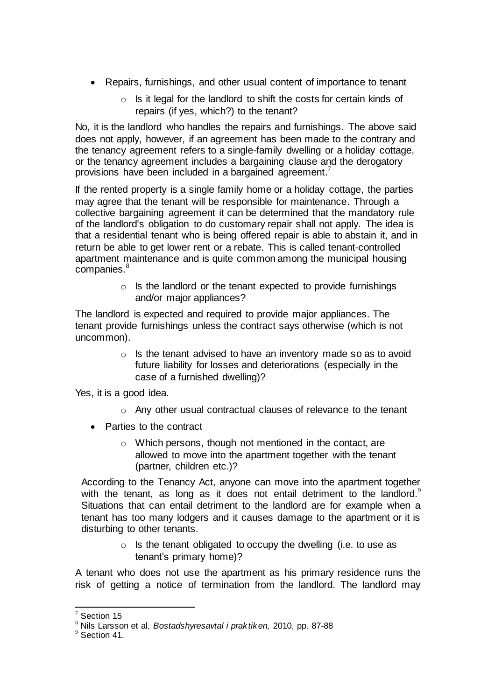- Repairs, furnishings, and other usual content of importance to tenant
	- $\circ$  Is it legal for the landlord to shift the costs for certain kinds of repairs (if yes, which?) to the tenant?

No, it is the landlord who handles the repairs and furnishings. The above said does not apply, however, if an agreement has been made to the contrary and the tenancy agreement refers to a single-family dwelling or a holiday cottage, or the tenancy agreement includes a bargaining clause and the derogatory provisions have been included in a bargained agreement.<sup>7</sup>

If the rented property is a single family home or a holiday cottage, the parties may agree that the tenant will be responsible for maintenance. Through a collective bargaining agreement it can be determined that the mandatory rule of the landlord's obligation to do customary repair shall not apply. The idea is that a residential tenant who is being offered repair is able to abstain it, and in return be able to get lower rent or a rebate. This is called tenant-controlled apartment maintenance and is quite common among the municipal housing companies.<sup>8</sup>

> o Is the landlord or the tenant expected to provide furnishings and/or major appliances?

The landlord is expected and required to provide major appliances. The tenant provide furnishings unless the contract says otherwise (which is not uncommon).

> o Is the tenant advised to have an inventory made so as to avoid future liability for losses and deteriorations (especially in the case of a furnished dwelling)?

Yes, it is a good idea.

- o Any other usual contractual clauses of relevance to the tenant
- Parties to the contract
	- o Which persons, though not mentioned in the contact, are allowed to move into the apartment together with the tenant (partner, children etc.)?

According to the Tenancy Act, anyone can move into the apartment together with the tenant, as long as it does not entail detriment to the landlord.<sup>9</sup> Situations that can entail detriment to the landlord are for example when a tenant has too many lodgers and it causes damage to the apartment or it is disturbing to other tenants.

> $\circ$  Is the tenant obligated to occupy the dwelling (i.e. to use as tenant's primary home)?

A tenant who does not use the apartment as his primary residence runs the risk of getting a notice of termination from the landlord. The landlord may

l Section 15

<sup>8</sup> Nils Larsson et al, *Bostadshyresavtal i praktiken,* 2010, pp. 87-88

 $9$  Section 41.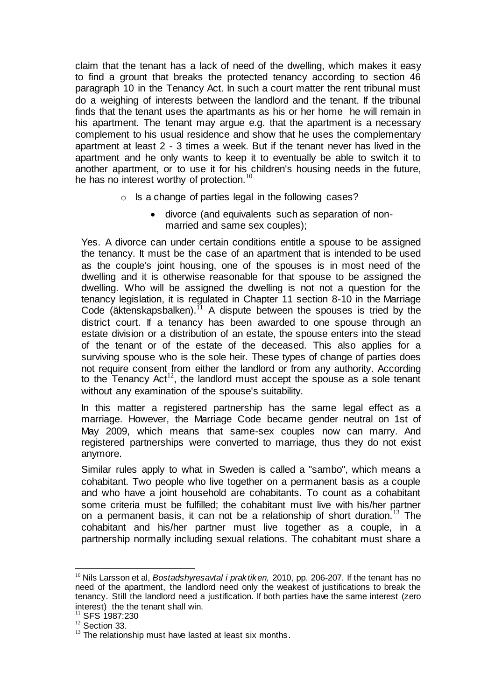claim that the tenant has a lack of need of the dwelling, which makes it easy to find a grount that breaks the protected tenancy according to section 46 paragraph 10 in the Tenancy Act. In such a court matter the rent tribunal must do a weighing of interests between the landlord and the tenant. If the tribunal finds that the tenant uses the apartmants as his or her home he will remain in his apartment. The tenant may argue e.g. that the apartment is a necessary complement to his usual residence and show that he uses the complementary apartment at least 2 - 3 times a week. But if the tenant never has lived in the apartment and he only wants to keep it to eventually be able to switch it to another apartment, or to use it for his children's housing needs in the future, he has no interest worthy of protection.<sup>1</sup>

- o Is a change of parties legal in the following cases?
	- divorce (and equivalents such as separation of nonmarried and same sex couples);

Yes. A divorce can under certain conditions entitle a spouse to be assigned the tenancy. It must be the case of an apartment that is intended to be used as the couple's joint housing, one of the spouses is in most need of the dwelling and it is otherwise reasonable for that spouse to be assigned the dwelling. Who will be assigned the dwelling is not not a question for the tenancy legislation, it is regulated in Chapter 11 section 8-10 in the Marriage Code (äktenskapsbalken).<sup>11</sup> A dispute between the spouses is tried by the district court. If a tenancy has been awarded to one spouse through an estate division or a distribution of an estate, the spouse enters into the stead of the tenant or of the estate of the deceased. This also applies for a surviving spouse who is the sole heir. These types of change of parties does not require consent from either the landlord or from any authority. According to the Tenancy Act<sup>12</sup>, the landlord must accept the spouse as a sole tenant without any examination of the spouse's suitability.

In this matter a registered partnership has the same legal effect as a marriage. However, the Marriage Code became gender neutral on 1st of May 2009, which means that same-sex couples now can marry. And registered partnerships were converted to marriage, thus they do not exist anymore.

Similar rules apply to what in Sweden is called a "sambo", which means a cohabitant. Two people who live together on a permanent basis as a couple and who have a joint household are cohabitants. To count as a cohabitant some criteria must be fulfilled; the cohabitant must live with his/her partner on a permanent basis, it can not be a relationship of short duration.<sup>13</sup> The cohabitant and his/her partner must live together as a couple, in a partnership normally including sexual relations. The cohabitant must share a

l

<sup>10</sup> Nils Larsson et al, *Bostadshyresavtal i praktiken,* 2010, pp. 206-207. If the tenant has no need of the apartment, the landlord need only the weakest of justifications to break the tenancy. Still the landlord need a justification. If both parties have the same interest (zero interest) the the tenant shall win.

SFS 1987:230

 $12$  Section 33.

 $13$  The relationship must have lasted at least six months.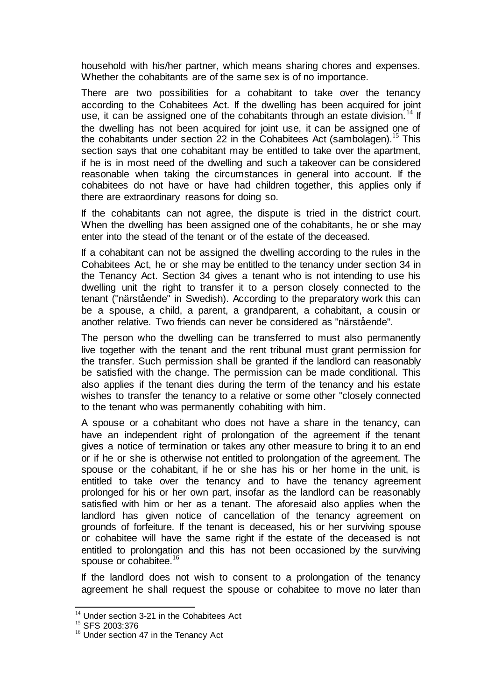household with his/her partner, which means sharing chores and expenses. Whether the cohabitants are of the same sex is of no importance.

There are two possibilities for a cohabitant to take over the tenancy according to the Cohabitees Act. If the dwelling has been acquired for joint use, it can be assigned one of the cohabitants through an estate division.<sup>14</sup> If the dwelling has not been acquired for joint use, it can be assigned one of the cohabitants under section 22 in the Cohabitees Act (sambolagen).<sup>15</sup> This section says that one cohabitant may be entitled to take over the apartment. if he is in most need of the dwelling and such a takeover can be considered reasonable when taking the circumstances in general into account. If the cohabitees do not have or have had children together, this applies only if there are extraordinary reasons for doing so.

If the cohabitants can not agree, the dispute is tried in the district court. When the dwelling has been assigned one of the cohabitants, he or she may enter into the stead of the tenant or of the estate of the deceased.

If a cohabitant can not be assigned the dwelling according to the rules in the Cohabitees Act, he or she may be entitled to the tenancy under section 34 in the Tenancy Act. Section 34 gives a tenant who is not intending to use his dwelling unit the right to transfer it to a person closely connected to the tenant ("närstående" in Swedish). According to the preparatory work this can be a spouse, a child, a parent, a grandparent, a cohabitant, a cousin or another relative. Two friends can never be considered as "närstående".

The person who the dwelling can be transferred to must also permanently live together with the tenant and the rent tribunal must grant permission for the transfer. Such permission shall be granted if the landlord can reasonably be satisfied with the change. The permission can be made conditional. This also applies if the tenant dies during the term of the tenancy and his estate wishes to transfer the tenancy to a relative or some other "closely connected to the tenant who was permanently cohabiting with him.

A spouse or a cohabitant who does not have a share in the tenancy, can have an independent right of prolongation of the agreement if the tenant gives a notice of termination or takes any other measure to bring it to an end or if he or she is otherwise not entitled to prolongation of the agreement. The spouse or the cohabitant, if he or she has his or her home in the unit, is entitled to take over the tenancy and to have the tenancy agreement prolonged for his or her own part, insofar as the landlord can be reasonably satisfied with him or her as a tenant. The aforesaid also applies when the landlord has given notice of cancellation of the tenancy agreement on grounds of forfeiture. If the tenant is deceased, his or her surviving spouse or cohabitee will have the same right if the estate of the deceased is not entitled to prolongation and this has not been occasioned by the surviving spouse or cohabitee.<sup>16</sup>

If the landlord does not wish to consent to a prolongation of the tenancy agreement he shall request the spouse or cohabitee to move no later than

l  $14$  Under section 3-21 in the Cohabitees Act

<sup>15</sup> SFS 2003:376

<sup>&</sup>lt;sup>16</sup> Under section 47 in the Tenancy Act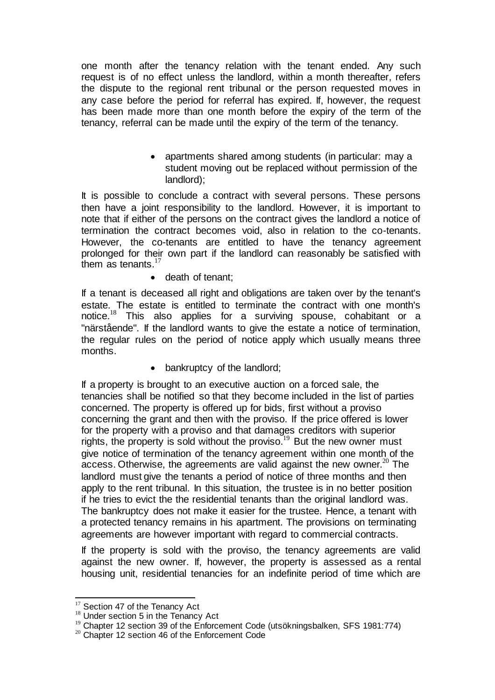one month after the tenancy relation with the tenant ended. Any such request is of no effect unless the landlord, within a month thereafter, refers the dispute to the regional rent tribunal or the person requested moves in any case before the period for referral has expired. If, however, the request has been made more than one month before the expiry of the term of the tenancy, referral can be made until the expiry of the term of the tenancy.

> • apartments shared among students (in particular: may a student moving out be replaced without permission of the landlord);

It is possible to conclude a contract with several persons. These persons then have a joint responsibility to the landlord. However, it is important to note that if either of the persons on the contract gives the landlord a notice of termination the contract becomes void, also in relation to the co-tenants. However, the co-tenants are entitled to have the tenancy agreement prolonged for their own part if the landlord can reasonably be satisfied with them as tenants. $17$ 

• death of tenant;

If a tenant is deceased all right and obligations are taken over by the tenant's estate. The estate is entitled to terminate the contract with one month's notice.  $8$  This also applies for a surviving spouse, cohabitant or a "närstående". If the landlord wants to give the estate a notice of termination, the regular rules on the period of notice apply which usually means three months.

• bankruptcy of the landlord;

If a property is brought to an executive auction on a forced sale, the tenancies shall be notified so that they become included in the list of parties concerned. The property is offered up for bids, first without a proviso concerning the grant and then with the proviso. If the price offered is lower for the property with a proviso and that damages creditors with superior rights, the property is sold without the proviso.<sup>19</sup> But the new owner must give notice of termination of the tenancy agreement within one month of the access. Otherwise, the agreements are valid against the new owner.<sup>20</sup> The landlord must give the tenants a period of notice of three months and then apply to the rent tribunal. In this situation, the trustee is in no better position if he tries to evict the the residential tenants than the original landlord was. The bankruptcy does not make it easier for the trustee. Hence, a tenant with a protected tenancy remains in his apartment. The provisions on terminating agreements are however important with regard to commercial contracts.

If the property is sold with the proviso, the tenancy agreements are valid against the new owner. If, however, the property is assessed as a rental housing unit, residential tenancies for an indefinite period of time which are

l

 $17$  Section 47 of the Tenancy Act

<sup>&</sup>lt;sup>18</sup> Under section 5 in the Tenancy Act

<sup>&</sup>lt;sup>19</sup> Chapter 12 section 39 of the Enforcement Code (utsökningsbalken, SFS 1981:774)

<sup>&</sup>lt;sup>20</sup> Chapter 12 section 46 of the Enforcement Code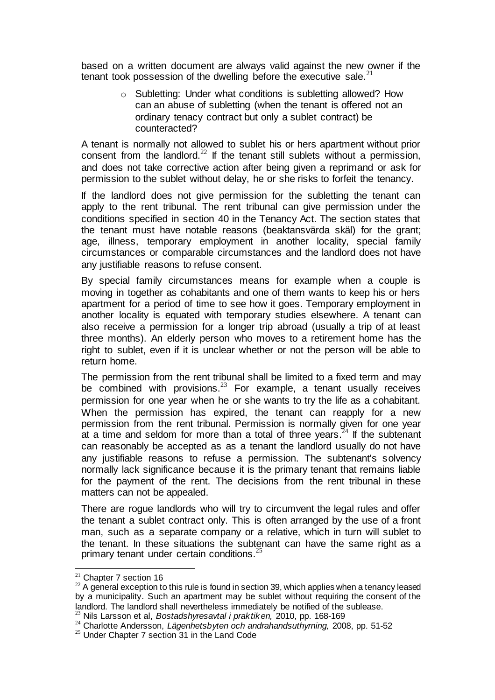based on a written document are always valid against the new owner if the tenant took possession of the dwelling before the executive sale. $^{21}$ 

> o Subletting: Under what conditions is subletting allowed? How can an abuse of subletting (when the tenant is offered not an ordinary tenacy contract but only a sublet contract) be counteracted?

A tenant is normally not allowed to sublet his or hers apartment without prior consent from the landlord.<sup>22</sup> If the tenant still sublets without a permission, and does not take corrective action after being given a reprimand or ask for permission to the sublet without delay, he or she risks to forfeit the tenancy.

If the landlord does not give permission for the subletting the tenant can apply to the rent tribunal. The rent tribunal can give permission under the conditions specified in section 40 in the Tenancy Act. The section states that the tenant must have notable reasons (beaktansvärda skäl) for the grant; age, illness, temporary employment in another locality, special family circumstances or comparable circumstances and the landlord does not have any justifiable reasons to refuse consent.

By special family circumstances means for example when a couple is moving in together as cohabitants and one of them wants to keep his or hers apartment for a period of time to see how it goes. Temporary employment in another locality is equated with temporary studies elsewhere. A tenant can also receive a permission for a longer trip abroad (usually a trip of at least three months). An elderly person who moves to a retirement home has the right to sublet, even if it is unclear whether or not the person will be able to return home.

The permission from the rent tribunal shall be limited to a fixed term and may be combined with provisions. $^{23}$  For example, a tenant usually receives permission for one year when he or she wants to try the life as a cohabitant. When the permission has expired, the tenant can reapply for a new permission from the rent tribunal. Permission is normally given for one year at a time and seldom for more than a total of three years.<sup>24</sup> If the subtenant can reasonably be accepted as as a tenant the landlord usually do not have any justifiable reasons to refuse a permission. The subtenant's solvency normally lack significance because it is the primary tenant that remains liable for the payment of the rent. The decisions from the rent tribunal in these matters can not be appealed.

There are rogue landlords who will try to circumvent the legal rules and offer the tenant a sublet contract only. This is often arranged by the use of a front man, such as a separate company or a relative, which in turn will sublet to the tenant. In these situations the subtenant can have the same right as a primary tenant under certain conditions.<sup>25</sup>

l

 $21$  Chapter 7 section 16

 $22$  A general exception to this rule is found in section 39, which applies when a tenancy leased by a municipality. Such an apartment may be sublet without requiring the consent of the landlord. The landlord shall nevertheless immediately be notified of the sublease.

<sup>23</sup> Nils Larsson et al, *Bostadshyresavtal i praktiken,* 2010, pp. 168-169

<sup>24</sup> Charlotte Andersson, *Lägenhetsbyten och andrahandsuthyrning,* 2008, pp. 51-52

<sup>&</sup>lt;sup>25</sup> Under Chapter 7 section 31 in the Land Code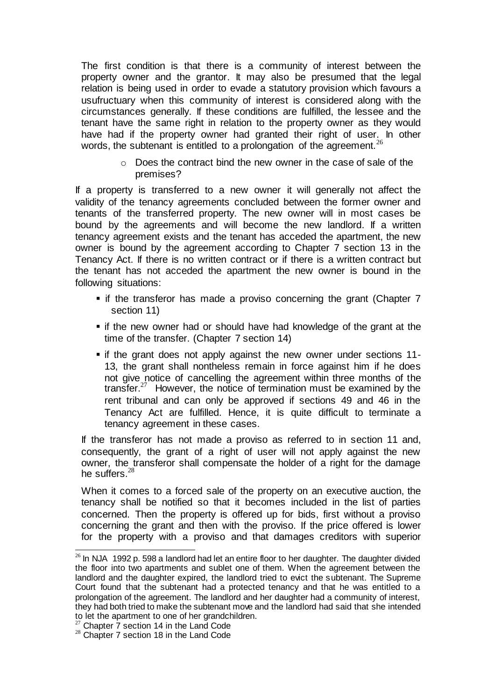The first condition is that there is a community of interest between the property owner and the grantor. It may also be presumed that the legal relation is being used in order to evade a statutory provision which favours a usufructuary when this community of interest is considered along with the circumstances generally. If these conditions are fulfilled, the lessee and the tenant have the same right in relation to the property owner as they would have had if the property owner had granted their right of user. In other words, the subtenant is entitled to a prolongation of the agreement.<sup>26</sup>

> $\circ$  Does the contract bind the new owner in the case of sale of the premises?

If a property is transferred to a new owner it will generally not affect the validity of the tenancy agreements concluded between the former owner and tenants of the transferred property. The new owner will in most cases be bound by the agreements and will become the new landlord. If a written tenancy agreement exists and the tenant has acceded the apartment, the new owner is bound by the agreement according to Chapter 7 section 13 in the Tenancy Act. If there is no written contract or if there is a written contract but the tenant has not acceded the apartment the new owner is bound in the following situations:

- $\bullet$  if the transferor has made a proviso concerning the grant (Chapter 7 section 11)
- **F** if the new owner had or should have had knowledge of the grant at the time of the transfer. (Chapter 7 section 14)
- if the grant does not apply against the new owner under sections 11- 13, the grant shall nontheless remain in force against him if he does not give notice of cancelling the agreement within three months of the transfer. $27$  However, the notice of termination must be examined by the rent tribunal and can only be approved if sections 49 and 46 in the Tenancy Act are fulfilled. Hence, it is quite difficult to terminate a tenancy agreement in these cases.

If the transferor has not made a proviso as referred to in section 11 and, consequently, the grant of a right of user will not apply against the new owner, the transferor shall compensate the holder of a right for the damage he suffers. $28$ 

When it comes to a forced sale of the property on an executive auction, the tenancy shall be notified so that it becomes included in the list of parties concerned. Then the property is offered up for bids, first without a proviso concerning the grant and then with the proviso. If the price offered is lower for the property with a proviso and that damages creditors with superior

 $\overline{a}$  $26$  In NJA 1992 p. 598 a landlord had let an entire floor to her daughter. The daughter divided the floor into two apartments and sublet one of them. When the agreement between the landlord and the daughter expired, the landlord tried to evict the subtenant. The Supreme Court found that the subtenant had a protected tenancy and that he was entitled to a prolongation of the agreement. The landlord and her daughter had a community of interest, they had both tried to make the subtenant move and the landlord had said that she intended to let the apartment to one of her grandchildren.

 $27$  Chapter  $7$  section 14 in the Land Code

<sup>&</sup>lt;sup>28</sup> Chapter 7 section 18 in the Land Code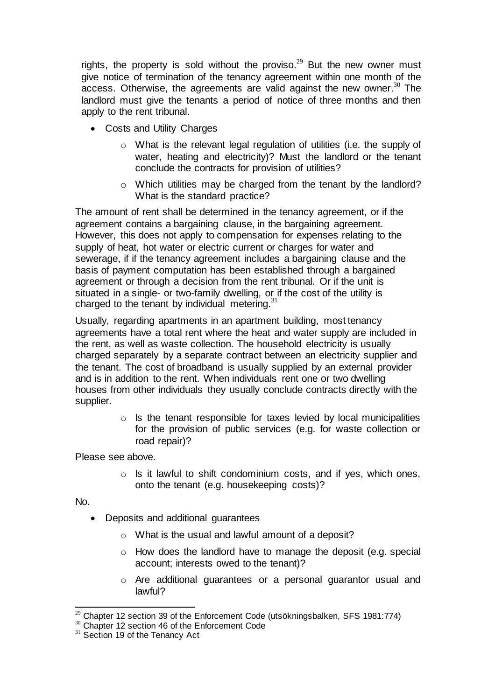rights, the property is sold without the proviso.<sup>29</sup> But the new owner must give notice of termination of the tenancy agreement within one month of the access. Otherwise, the agreements are valid against the new owner.<sup>30</sup> The landlord must give the tenants a period of notice of three months and then apply to the rent tribunal.

- Costs and Utility Charges
	- o What is the relevant legal regulation of utilities (i.e. the supply of water, heating and electricity)? Must the landlord or the tenant conclude the contracts for provision of utilities?
	- o Which utilities may be charged from the tenant by the landlord? What is the standard practice?

The amount of rent shall be determined in the tenancy agreement, or if the agreement contains a bargaining clause, in the bargaining agreement. However, this does not apply to compensation for expenses relating to the supply of heat, hot water or electric current or charges for water and sewerage, if if the tenancy agreement includes a bargaining clause and the basis of payment computation has been established through a bargained agreement or through a decision from the rent tribunal. Or if the unit is situated in a single- or two-family dwelling, or if the cost of the utility is charged to the tenant by individual metering. $3$ 

Usually, regarding apartments in an apartment building, most tenancy agreements have a total rent where the heat and water supply are included in the rent, as well as waste collection. The household electricity is usually charged separately by a separate contract between an electricity supplier and the tenant. The cost of broadband is usually supplied by an external provider and is in addition to the rent. When individuals rent one or two dwelling houses from other individuals they usually conclude contracts directly with the supplier.

> $\circ$  Is the tenant responsible for taxes levied by local municipalities for the provision of public services (e.g. for waste collection or road repair)?

Please see above.

 $\circ$  Is it lawful to shift condominium costs, and if yes, which ones, onto the tenant (e.g. housekeeping costs)?

No.

- Deposits and additional guarantees
	- o What is the usual and lawful amount of a deposit?
	- o How does the landlord have to manage the deposit (e.g. special account; interests owed to the tenant)?
	- o Are additional guarantees or a personal guarantor usual and lawful?

l <sup>29</sup> Chapter 12 section 39 of the Enforcement Code (utsökningsbalken, SFS 1981:774)

<sup>&</sup>lt;sup>30</sup> Chapter 12 section 46 of the Enforcement Code

<sup>&</sup>lt;sup>31</sup> Section 19 of the Tenancy Act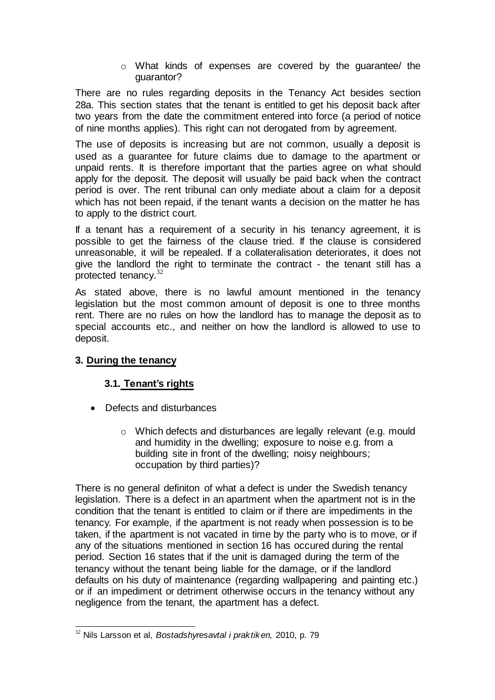o What kinds of expenses are covered by the guarantee/ the guarantor?

There are no rules regarding deposits in the Tenancy Act besides section 28a. This section states that the tenant is entitled to get his deposit back after two years from the date the commitment entered into force (a period of notice of nine months applies). This right can not derogated from by agreement.

The use of deposits is increasing but are not common, usually a deposit is used as a guarantee for future claims due to damage to the apartment or unpaid rents. It is therefore important that the parties agree on what should apply for the deposit. The deposit will usually be paid back when the contract period is over. The rent tribunal can only mediate about a claim for a deposit which has not been repaid, if the tenant wants a decision on the matter he has to apply to the district court.

If a tenant has a requirement of a security in his tenancy agreement, it is possible to get the fairness of the clause tried. If the clause is considered unreasonable, it will be repealed. If a collateralisation deteriorates, it does not give the landlord the right to terminate the contract - the tenant still has a protected tenancy.<sup>32</sup>

As stated above, there is no lawful amount mentioned in the tenancy legislation but the most common amount of deposit is one to three months rent. There are no rules on how the landlord has to manage the deposit as to special accounts etc., and neither on how the landlord is allowed to use to deposit.

#### **3. During the tenancy**

#### **3.1. Tenant's rights**

- Defects and disturbances
	- o Which defects and disturbances are legally relevant (e.g. mould and humidity in the dwelling; exposure to noise e.g. from a building site in front of the dwelling; noisy neighbours; occupation by third parties)?

There is no general definiton of what a defect is under the Swedish tenancy legislation. There is a defect in an apartment when the apartment not is in the condition that the tenant is entitled to claim or if there are impediments in the tenancy. For example, if the apartment is not ready when possession is to be taken, if the apartment is not vacated in time by the party who is to move, or if any of the situations mentioned in section 16 has occured during the rental period. Section 16 states that if the unit is damaged during the term of the tenancy without the tenant being liable for the damage, or if the landlord defaults on his duty of maintenance (regarding wallpapering and painting etc.) or if an impediment or detriment otherwise occurs in the tenancy without any negligence from the tenant, the apartment has a defect.

l <sup>32</sup> Nils Larsson et al, *Bostadshyresavtal i praktiken,* 2010, p. 79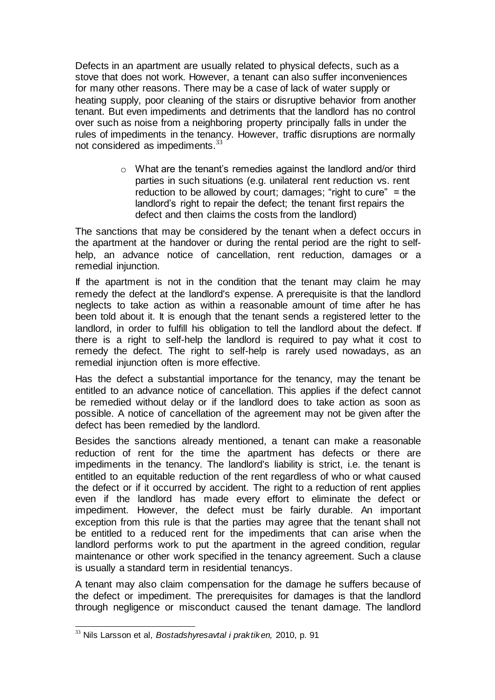Defects in an apartment are usually related to physical defects, such as a stove that does not work. However, a tenant can also suffer inconveniences for many other reasons. There may be a case of lack of water supply or heating supply, poor cleaning of the stairs or disruptive behavior from another tenant. But even impediments and detriments that the landlord has no control over such as noise from a neighboring property principally falls in under the rules of impediments in the tenancy. However, traffic disruptions are normally not considered as impediments.<sup>33</sup>

> o What are the tenant's remedies against the landlord and/or third parties in such situations (e.g. unilateral rent reduction vs. rent reduction to be allowed by court; damages; "right to cure" = the landlord's right to repair the defect; the tenant first repairs the defect and then claims the costs from the landlord)

The sanctions that may be considered by the tenant when a defect occurs in the apartment at the handover or during the rental period are the right to selfhelp, an advance notice of cancellation, rent reduction, damages or a remedial injunction.

If the apartment is not in the condition that the tenant may claim he may remedy the defect at the landlord's expense. A prerequisite is that the landlord neglects to take action as within a reasonable amount of time after he has been told about it. It is enough that the tenant sends a registered letter to the landlord, in order to fulfill his obligation to tell the landlord about the defect. If there is a right to self-help the landlord is required to pay what it cost to remedy the defect. The right to self-help is rarely used nowadays, as an remedial injunction often is more effective.

Has the defect a substantial importance for the tenancy, may the tenant be entitled to an advance notice of cancellation. This applies if the defect cannot be remedied without delay or if the landlord does to take action as soon as possible. A notice of cancellation of the agreement may not be given after the defect has been remedied by the landlord.

Besides the sanctions already mentioned, a tenant can make a reasonable reduction of rent for the time the apartment has defects or there are impediments in the tenancy. The landlord's liability is strict, i.e. the tenant is entitled to an equitable reduction of the rent regardless of who or what caused the defect or if it occurred by accident. The right to a reduction of rent applies even if the landlord has made every effort to eliminate the defect or impediment. However, the defect must be fairly durable. An important exception from this rule is that the parties may agree that the tenant shall not be entitled to a reduced rent for the impediments that can arise when the landlord performs work to put the apartment in the agreed condition, regular maintenance or other work specified in the tenancy agreement. Such a clause is usually a standard term in residential tenancys.

A tenant may also claim compensation for the damage he suffers because of the defect or impediment. The prerequisites for damages is that the landlord through negligence or misconduct caused the tenant damage. The landlord

l <sup>33</sup> Nils Larsson et al, *Bostadshyresavtal i praktiken,* 2010, p. 91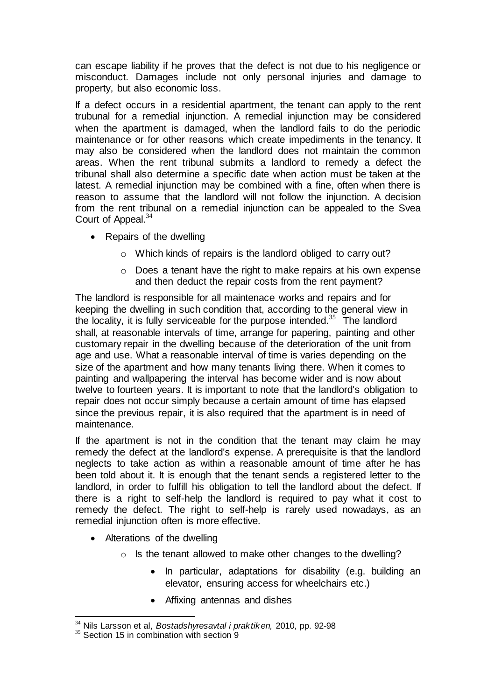can escape liability if he proves that the defect is not due to his negligence or misconduct. Damages include not only personal injuries and damage to property, but also economic loss.

If a defect occurs in a residential apartment, the tenant can apply to the rent trubunal for a remedial injunction. A remedial injunction may be considered when the apartment is damaged, when the landlord fails to do the periodic maintenance or for other reasons which create impediments in the tenancy. It may also be considered when the landlord does not maintain the common areas. When the rent tribunal submits a landlord to remedy a defect the tribunal shall also determine a specific date when action must be taken at the latest. A remedial injunction may be combined with a fine, often when there is reason to assume that the landlord will not follow the injunction. A decision from the rent tribunal on a remedial injunction can be appealed to the Svea Court of Appeal.<sup>34</sup>

- Repairs of the dwelling
	- o Which kinds of repairs is the landlord obliged to carry out?
	- o Does a tenant have the right to make repairs at his own expense and then deduct the repair costs from the rent payment?

The landlord is responsible for all maintenace works and repairs and for keeping the dwelling in such condition that, according to the general view in the locality, it is fully serviceable for the purpose intended. $35$  The landlord shall, at reasonable intervals of time, arrange for papering, painting and other customary repair in the dwelling because of the deterioration of the unit from age and use. What a reasonable interval of time is varies depending on the size of the apartment and how many tenants living there. When it comes to painting and wallpapering the interval has become wider and is now about twelve to fourteen years. It is important to note that the landlord's obligation to repair does not occur simply because a certain amount of time has elapsed since the previous repair, it is also required that the apartment is in need of maintenance.

If the apartment is not in the condition that the tenant may claim he may remedy the defect at the landlord's expense. A prerequisite is that the landlord neglects to take action as within a reasonable amount of time after he has been told about it. It is enough that the tenant sends a registered letter to the landlord, in order to fulfill his obligation to tell the landlord about the defect. If there is a right to self-help the landlord is required to pay what it cost to remedy the defect. The right to self-help is rarely used nowadays, as an remedial injunction often is more effective.

- Alterations of the dwelling
	- o Is the tenant allowed to make other changes to the dwelling?
		- In particular, adaptations for disability (e.g. building an elevator, ensuring access for wheelchairs etc.)
		- Affixing antennas and dishes

l <sup>34</sup> Nils Larsson et al, *Bostadshyresavtal i praktiken,* 2010, pp. 92-98

 $35$  Section 15 in combination with section 9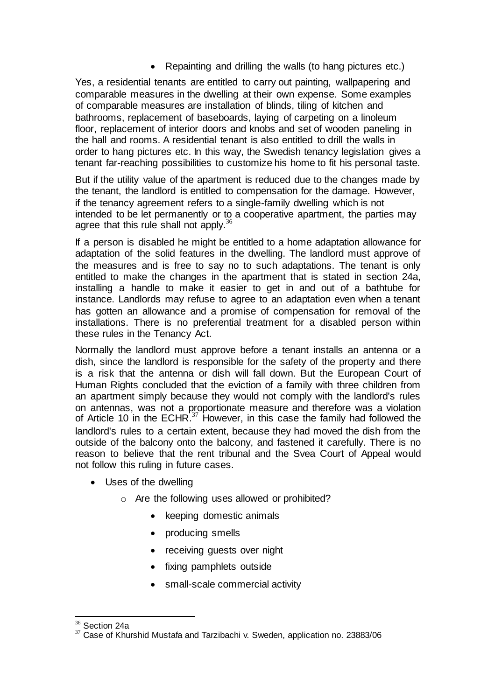Repainting and drilling the walls (to hang pictures etc.)

Yes, a residential tenants are entitled to carry out painting, wallpapering and comparable measures in the dwelling at their own expense. Some examples of comparable measures are installation of blinds, tiling of kitchen and bathrooms, replacement of baseboards, laying of carpeting on a linoleum floor, replacement of interior doors and knobs and set of wooden paneling in the hall and rooms. A residential tenant is also entitled to drill the walls in order to hang pictures etc. In this way, the Swedish tenancy legislation gives a tenant far-reaching possibilities to customize his home to fit his personal taste.

But if the utility value of the apartment is reduced due to the changes made by the tenant, the landlord is entitled to compensation for the damage. However, if the tenancy agreement refers to a single-family dwelling which is not intended to be let permanently or to a cooperative apartment, the parties may agree that this rule shall not apply.<sup>36</sup>

If a person is disabled he might be entitled to a home adaptation allowance for adaptation of the solid features in the dwelling. The landlord must approve of the measures and is free to say no to such adaptations. The tenant is only entitled to make the changes in the apartment that is stated in section 24a, installing a handle to make it easier to get in and out of a bathtube for instance. Landlords may refuse to agree to an adaptation even when a tenant has gotten an allowance and a promise of compensation for removal of the installations. There is no preferential treatment for a disabled person within these rules in the Tenancy Act.

Normally the landlord must approve before a tenant installs an antenna or a dish, since the landlord is responsible for the safety of the property and there is a risk that the antenna or dish will fall down. But the European Court of Human Rights concluded that the eviction of a family with three children from an apartment simply because they would not comply with the landlord's rules on antennas, was not a proportionate measure and therefore was a violation of Article 10 in the ECHR.<sup>37</sup> However, in this case the family had followed the landlord's rules to a certain extent, because they had moved the dish from the outside of the balcony onto the balcony, and fastened it carefully. There is no reason to believe that the rent tribunal and the Svea Court of Appeal would not follow this ruling in future cases.

- Uses of the dwelling
	- o Are the following uses allowed or prohibited?
		- keeping domestic animals
		- producing smells
		- receiving quests over night
		- fixing pamphlets outside
		- small-scale commercial activity

l  $36$  Section 24a

<sup>&</sup>lt;sup>37</sup> Case of Khurshid Mustafa and Tarzibachi v. Sweden, application no. 23883/06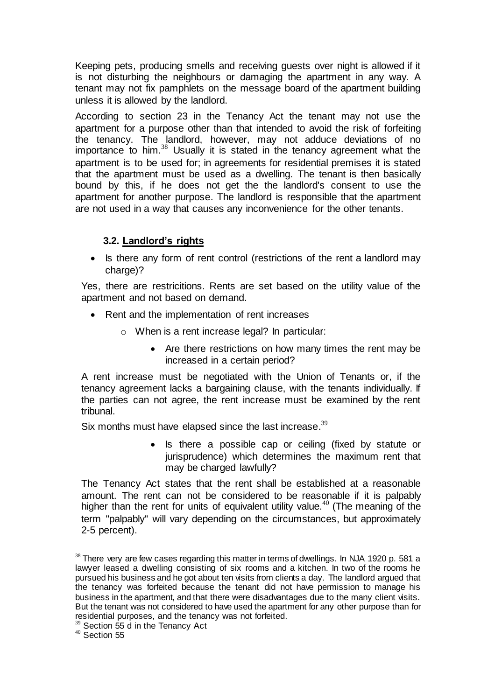Keeping pets, producing smells and receiving guests over night is allowed if it is not disturbing the neighbours or damaging the apartment in any way. A tenant may not fix pamphlets on the message board of the apartment building unless it is allowed by the landlord.

According to section 23 in the Tenancy Act the tenant may not use the apartment for a purpose other than that intended to avoid the risk of forfeiting the tenancy. The landlord, however, may not adduce deviations of no importance to him. $38$  Usually it is stated in the tenancy agreement what the apartment is to be used for; in agreements for residential premises it is stated that the apartment must be used as a dwelling. The tenant is then basically bound by this, if he does not get the the landlord's consent to use the apartment for another purpose. The landlord is responsible that the apartment are not used in a way that causes any inconvenience for the other tenants.

### **3.2. Landlord's rights**

• Is there any form of rent control (restrictions of the rent a landlord may charge)?

Yes, there are restricitions. Rents are set based on the utility value of the apartment and not based on demand.

- Rent and the implementation of rent increases
	- o When is a rent increase legal? In particular:
		- Are there restrictions on how many times the rent may be increased in a certain period?

A rent increase must be negotiated with the Union of Tenants or, if the tenancy agreement lacks a bargaining clause, with the tenants individually. If the parties can not agree, the rent increase must be examined by the rent tribunal.

Six months must have elapsed since the last increase. $^{39}$ 

• Is there a possible cap or ceiling (fixed by statute or jurisprudence) which determines the maximum rent that may be charged lawfully?

The Tenancy Act states that the rent shall be established at a reasonable amount. The rent can not be considered to be reasonable if it is palpably higher than the rent for units of equivalent utility value.<sup>40</sup> (The meaning of the term "palpably" will vary depending on the circumstances, but approximately 2-5 percent).

 $\overline{a}$  $38$  There very are few cases regarding this matter in terms of dwellings. In NJA 1920 p. 581 a lawyer leased a dwelling consisting of six rooms and a kitchen. In two of the rooms he pursued his business and he got about ten visits from clients a day. The landlord argued that the tenancy was forfeited because the tenant did not have permission to manage his business in the apartment, and that there were disadvantages due to the many client visits. But the tenant was not considered to have used the apartment for any other purpose than for residential purposes, and the tenancy was not forfeited.

 $39$  Section 55 d in the Tenancy Act

 $40$  Section 55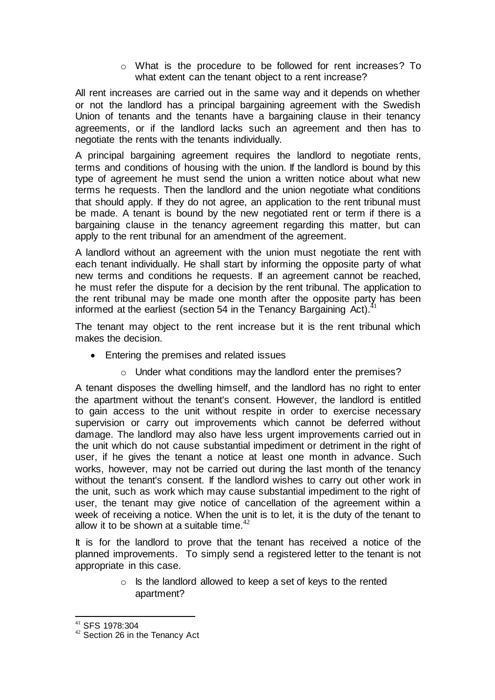o What is the procedure to be followed for rent increases? To what extent can the tenant object to a rent increase?

All rent increases are carried out in the same way and it depends on whether or not the landlord has a principal bargaining agreement with the Swedish Union of tenants and the tenants have a bargaining clause in their tenancy agreements, or if the landlord lacks such an agreement and then has to negotiate the rents with the tenants individually.

A principal bargaining agreement requires the landlord to negotiate rents, terms and conditions of housing with the union. If the landlord is bound by this type of agreement he must send the union a written notice about what new terms he requests. Then the landlord and the union negotiate what conditions that should apply. If they do not agree, an application to the rent tribunal must be made. A tenant is bound by the new negotiated rent or term if there is a bargaining clause in the tenancy agreement regarding this matter, but can apply to the rent tribunal for an amendment of the agreement.

A landlord without an agreement with the union must negotiate the rent with each tenant individually. He shall start by informing the opposite party of what new terms and conditions he requests. If an agreement cannot be reached, he must refer the dispute for a decision by the rent tribunal. The application to the rent tribunal may be made one month after the opposite party has been informed at the earliest (section 54 in the Tenancy Bargaining  $Act$ ).<sup>4</sup>

The tenant may object to the rent increase but it is the rent tribunal which makes the decision.

- Entering the premises and related issues
	- o Under what conditions may the landlord enter the premises?

A tenant disposes the dwelling himself, and the landlord has no right to enter the apartment without the tenant's consent. However, the landlord is entitled to gain access to the unit without respite in order to exercise necessary supervision or carry out improvements which cannot be deferred without damage. The landlord may also have less urgent improvements carried out in the unit which do not cause substantial impediment or detriment in the right of user, if he gives the tenant a notice at least one month in advance. Such works, however, may not be carried out during the last month of the tenancy without the tenant's consent. If the landlord wishes to carry out other work in the unit, such as work which may cause substantial impediment to the right of user, the tenant may give notice of cancellation of the agreement within a week of receiving a notice. When the unit is to let, it is the duty of the tenant to allow it to be shown at a suitable time.  $42$ 

It is for the landlord to prove that the tenant has received a notice of the planned improvements. To simply send a registered letter to the tenant is not appropriate in this case.

> $\circ$  Is the landlord allowed to keep a set of keys to the rented apartment?

l

<sup>41</sup> SFS 1978:304

<sup>&</sup>lt;sup>42</sup> Section 26 in the Tenancy Act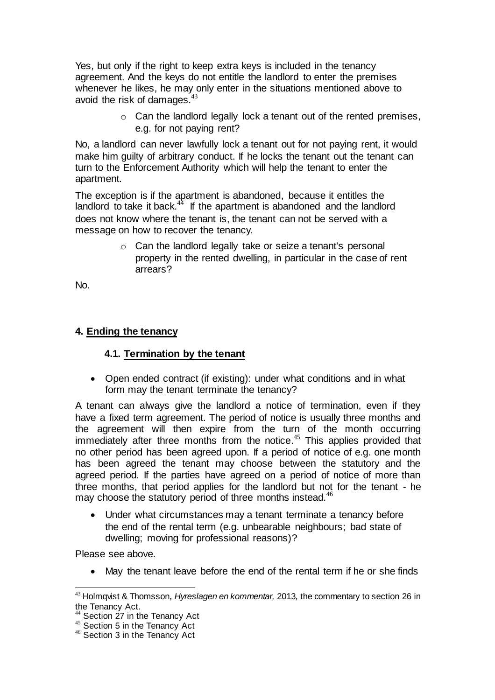Yes, but only if the right to keep extra keys is included in the tenancy agreement. And the keys do not entitle the landlord to enter the premises whenever he likes, he may only enter in the situations mentioned above to avoid the risk of damages. $43$ 

> $\circ$  Can the landlord legally lock a tenant out of the rented premises. e.g. for not paying rent?

No, a landlord can never lawfully lock a tenant out for not paying rent, it would make him guilty of arbitrary conduct. If he locks the tenant out the tenant can turn to the Enforcement Authority which will help the tenant to enter the apartment.

The exception is if the apartment is abandoned, because it entitles the landlord to take it back. $44$  If the apartment is abandoned and the landlord does not know where the tenant is, the tenant can not be served with a message on how to recover the tenancy.

> o Can the landlord legally take or seize a tenant's personal property in the rented dwelling, in particular in the case of rent arrears?

No.

#### **4. Ending the tenancy**

#### **4.1. Termination by the tenant**

 Open ended contract (if existing): under what conditions and in what form may the tenant terminate the tenancy?

A tenant can always give the landlord a notice of termination, even if they have a fixed term agreement. The period of notice is usually three months and the agreement will then expire from the turn of the month occurring immediately after three months from the notice.<sup>45</sup> This applies provided that no other period has been agreed upon. If a period of notice of e.g. one month has been agreed the tenant may choose between the statutory and the agreed period. If the parties have agreed on a period of notice of more than three months, that period applies for the landlord but not for the tenant - he may choose the statutory period of three months instead.<sup>46</sup>

 Under what circumstances may a tenant terminate a tenancy before the end of the rental term (e.g. unbearable neighbours; bad state of dwelling; moving for professional reasons)?

Please see above.

May the tenant leave before the end of the rental term if he or she finds

l <sup>43</sup> Holmqvist & Thomsson, *Hyreslagen en kommentar,* 2013*,* the commentary to section 26 in the Tenancy Act.

Section 27 in the Tenancy Act

<sup>45</sup> Section 5 in the Tenancy Act

<sup>46</sup> Section 3 in the Tenancy Act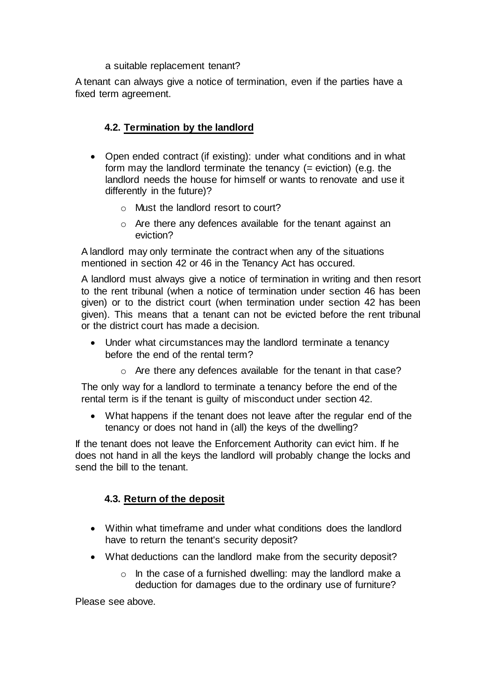#### a suitable replacement tenant?

A tenant can always give a notice of termination, even if the parties have a fixed term agreement.

#### **4.2. Termination by the landlord**

- Open ended contract (if existing): under what conditions and in what form may the landlord terminate the tenancy (= eviction) (e.g. the landlord needs the house for himself or wants to renovate and use it differently in the future)?
	- o Must the landlord resort to court?
	- o Are there any defences available for the tenant against an eviction?

A landlord may only terminate the contract when any of the situations mentioned in section 42 or 46 in the Tenancy Act has occured.

A landlord must always give a notice of termination in writing and then resort to the rent tribunal (when a notice of termination under section 46 has been given) or to the district court (when termination under section 42 has been given). This means that a tenant can not be evicted before the rent tribunal or the district court has made a decision.

- Under what circumstances may the landlord terminate a tenancy before the end of the rental term?
	- o Are there any defences available for the tenant in that case?

The only way for a landlord to terminate a tenancy before the end of the rental term is if the tenant is guilty of misconduct under section 42.

 What happens if the tenant does not leave after the regular end of the tenancy or does not hand in (all) the keys of the dwelling?

If the tenant does not leave the Enforcement Authority can evict him. If he does not hand in all the keys the landlord will probably change the locks and send the bill to the tenant.

#### **4.3. Return of the deposit**

- Within what timeframe and under what conditions does the landlord have to return the tenant's security deposit?
- What deductions can the landlord make from the security deposit?
	- o In the case of a furnished dwelling: may the landlord make a deduction for damages due to the ordinary use of furniture?

Please see above.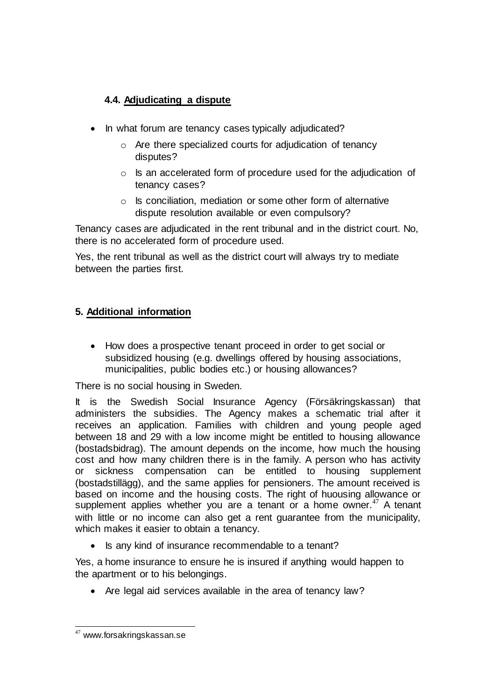## **4.4. Adjudicating a dispute**

- In what forum are tenancy cases typically adjudicated?
	- o Are there specialized courts for adjudication of tenancy disputes?
	- o Is an accelerated form of procedure used for the adjudication of tenancy cases?
	- o Is conciliation, mediation or some other form of alternative dispute resolution available or even compulsory?

Tenancy cases are adjudicated in the rent tribunal and in the district court. No, there is no accelerated form of procedure used.

Yes, the rent tribunal as well as the district court will always try to mediate between the parties first.

## **5. Additional information**

• How does a prospective tenant proceed in order to get social or subsidized housing (e.g. dwellings offered by housing associations, municipalities, public bodies etc.) or housing allowances?

There is no social housing in Sweden.

It is the Swedish Social Insurance Agency (Försäkringskassan) that administers the subsidies. The Agency makes a schematic trial after it receives an application. Families with children and young people aged between 18 and 29 with a low income might be entitled to housing allowance (bostadsbidrag). The amount depends on the income, how much the housing cost and how many children there is in the family. A person who has activity or sickness compensation can be entitled to housing supplement (bostadstillägg), and the same applies for pensioners. The amount received is based on income and the housing costs. The right of huousing allowance or supplement applies whether you are a tenant or a home owner. $47$  A tenant with little or no income can also get a rent guarantee from the municipality, which makes it easier to obtain a tenancy.

• Is any kind of insurance recommendable to a tenant?

Yes, a home insurance to ensure he is insured if anything would happen to the apartment or to his belongings.

• Are legal aid services available in the area of tenancy law?

l <sup>47</sup> www.forsakringskassan.se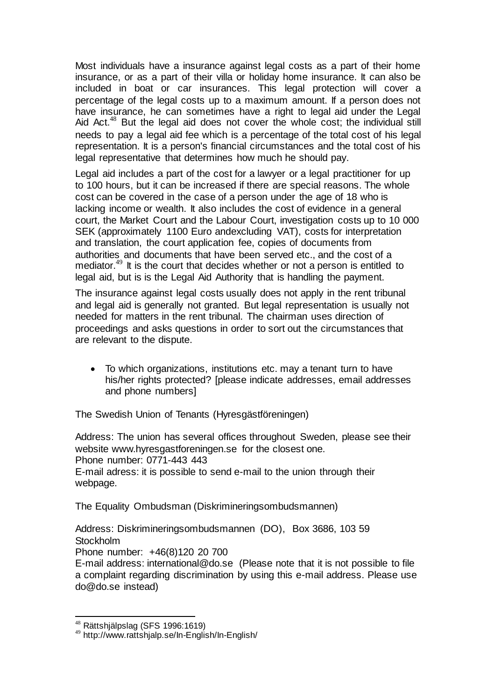Most individuals have a insurance against legal costs as a part of their home insurance, or as a part of their villa or holiday home insurance. It can also be included in boat or car insurances. This legal protection will cover a percentage of the legal costs up to a maximum amount. If a person does not have insurance, he can sometimes have a right to legal aid under the Legal Aid Act.<sup>48</sup> But the legal aid does not cover the whole cost; the individual still needs to pay a legal aid fee which is a percentage of the total cost of his legal representation. It is a person's financial circumstances and the total cost of his legal representative that determines how much he should pay.

Legal aid includes a part of the cost for a lawyer or a legal practitioner for up to 100 hours, but it can be increased if there are special reasons. The whole cost can be covered in the case of a person under the age of 18 who is lacking income or wealth. It also includes the cost of evidence in a general court, the Market Court and the Labour Court, investigation costs up to 10 000 SEK (approximately 1100 Euro andexcluding VAT), costs for interpretation and translation, the court application fee, copies of documents from authorities and documents that have been served etc., and the cost of a mediator.<sup>49</sup> It is the court that decides whether or not a person is entitled to legal aid, but is is the Legal Aid Authority that is handling the payment.

The insurance against legal costs usually does not apply in the rent tribunal and legal aid is generally not granted. But legal representation is usually not needed for matters in the rent tribunal. The chairman uses direction of proceedings and asks questions in order to sort out the circumstances that are relevant to the dispute.

 To which organizations, institutions etc. may a tenant turn to have his/her rights protected? [please indicate addresses, email addresses and phone numbers]

The Swedish Union of Tenants (Hyresgästföreningen)

Address: The union has several offices throughout Sweden, please see their website www.hyresgastforeningen.se for the closest one. Phone number: 0771-443 443 E-mail adress: it is possible to send e-mail to the union through their webpage.

The Equality Ombudsman (Diskrimineringsombudsmannen)

Address: Diskrimineringsombudsmannen (DO), Box 3686, 103 59 **Stockholm** Phone number: +46(8)120 20 700 E-mail address: international@do.se (Please note that it is not possible to file

a complaint regarding discrimination by using this e-mail address. Please use do@do.se instead)

l  $48$  Rättshjälpslag (SFS 1996:1619)

<sup>49</sup> http://www.rattshjalp.se/In-English/In-English/